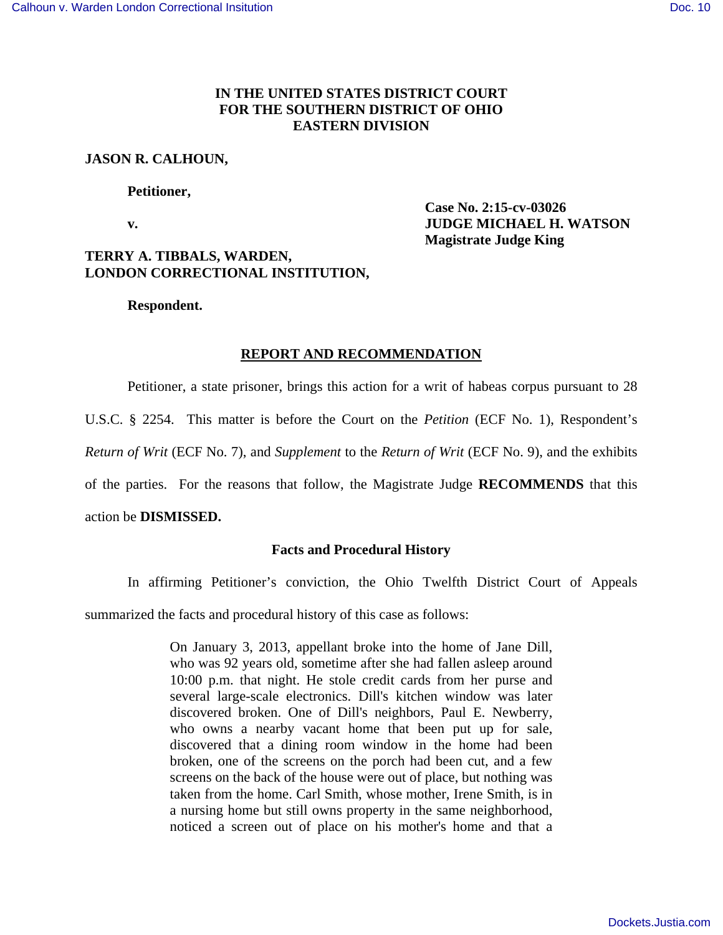## **IN THE UNITED STATES DISTRICT COURT FOR THE SOUTHERN DISTRICT OF OHIO EASTERN DIVISION**

## **JASON R. CALHOUN,**

### **Petitioner,**

 **Case No. 2:15-cv-03026 v. JUDGE MICHAEL H. WATSON Magistrate Judge King** 

# **TERRY A. TIBBALS, WARDEN, LONDON CORRECTIONAL INSTITUTION,**

 **Respondent.** 

## **REPORT AND RECOMMENDATION**

Petitioner, a state prisoner, brings this action for a writ of habeas corpus pursuant to 28

U.S.C. § 2254. This matter is before the Court on the *Petition* (ECF No. 1), Respondent's

*Return of Writ* (ECF No. 7), and *Supplement* to the *Return of Writ* (ECF No. 9), and the exhibits

of the parties. For the reasons that follow, the Magistrate Judge **RECOMMENDS** that this

## action be **DISMISSED.**

## **Facts and Procedural History**

 In affirming Petitioner's conviction, the Ohio Twelfth District Court of Appeals summarized the facts and procedural history of this case as follows:

> On January 3, 2013, appellant broke into the home of Jane Dill, who was 92 years old, sometime after she had fallen asleep around 10:00 p.m. that night. He stole credit cards from her purse and several large-scale electronics. Dill's kitchen window was later discovered broken. One of Dill's neighbors, Paul E. Newberry, who owns a nearby vacant home that been put up for sale, discovered that a dining room window in the home had been broken, one of the screens on the porch had been cut, and a few screens on the back of the house were out of place, but nothing was taken from the home. Carl Smith, whose mother, Irene Smith, is in a nursing home but still owns property in the same neighborhood, noticed a screen out of place on his mother's home and that a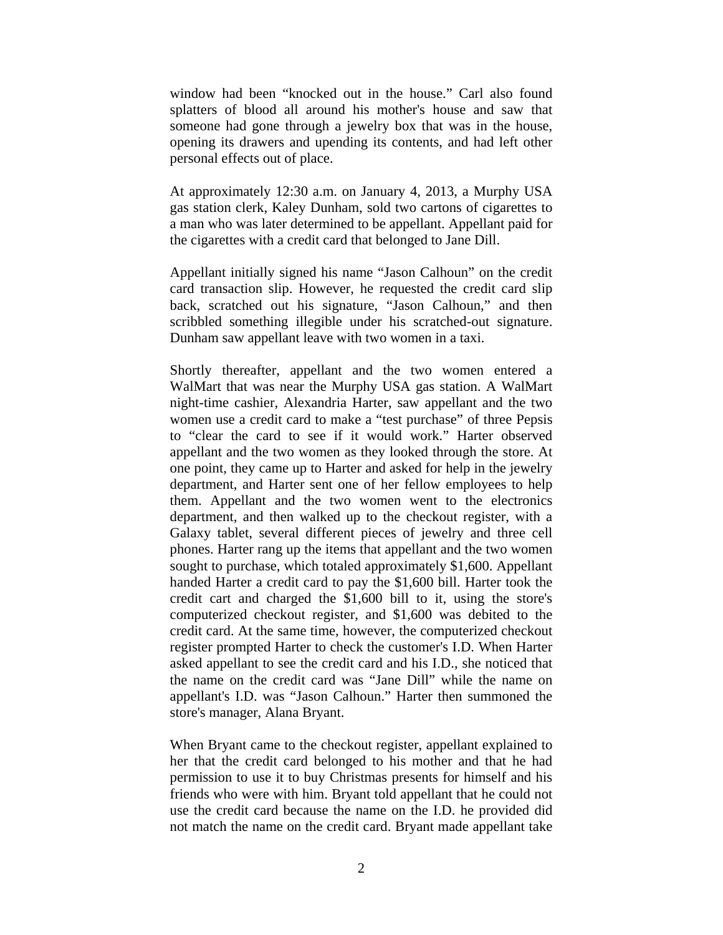window had been "knocked out in the house." Carl also found splatters of blood all around his mother's house and saw that someone had gone through a jewelry box that was in the house, opening its drawers and upending its contents, and had left other personal effects out of place.

At approximately 12:30 a.m. on January 4, 2013, a Murphy USA gas station clerk, Kaley Dunham, sold two cartons of cigarettes to a man who was later determined to be appellant. Appellant paid for the cigarettes with a credit card that belonged to Jane Dill.

Appellant initially signed his name "Jason Calhoun" on the credit card transaction slip. However, he requested the credit card slip back, scratched out his signature, "Jason Calhoun," and then scribbled something illegible under his scratched-out signature. Dunham saw appellant leave with two women in a taxi.

Shortly thereafter, appellant and the two women entered a WalMart that was near the Murphy USA gas station. A WalMart night-time cashier, Alexandria Harter, saw appellant and the two women use a credit card to make a "test purchase" of three Pepsis to "clear the card to see if it would work." Harter observed appellant and the two women as they looked through the store. At one point, they came up to Harter and asked for help in the jewelry department, and Harter sent one of her fellow employees to help them. Appellant and the two women went to the electronics department, and then walked up to the checkout register, with a Galaxy tablet, several different pieces of jewelry and three cell phones. Harter rang up the items that appellant and the two women sought to purchase, which totaled approximately \$1,600. Appellant handed Harter a credit card to pay the \$1,600 bill. Harter took the credit cart and charged the \$1,600 bill to it, using the store's computerized checkout register, and \$1,600 was debited to the credit card. At the same time, however, the computerized checkout register prompted Harter to check the customer's I.D. When Harter asked appellant to see the credit card and his I.D., she noticed that the name on the credit card was "Jane Dill" while the name on appellant's I.D. was "Jason Calhoun." Harter then summoned the store's manager, Alana Bryant.

When Bryant came to the checkout register, appellant explained to her that the credit card belonged to his mother and that he had permission to use it to buy Christmas presents for himself and his friends who were with him. Bryant told appellant that he could not use the credit card because the name on the I.D. he provided did not match the name on the credit card. Bryant made appellant take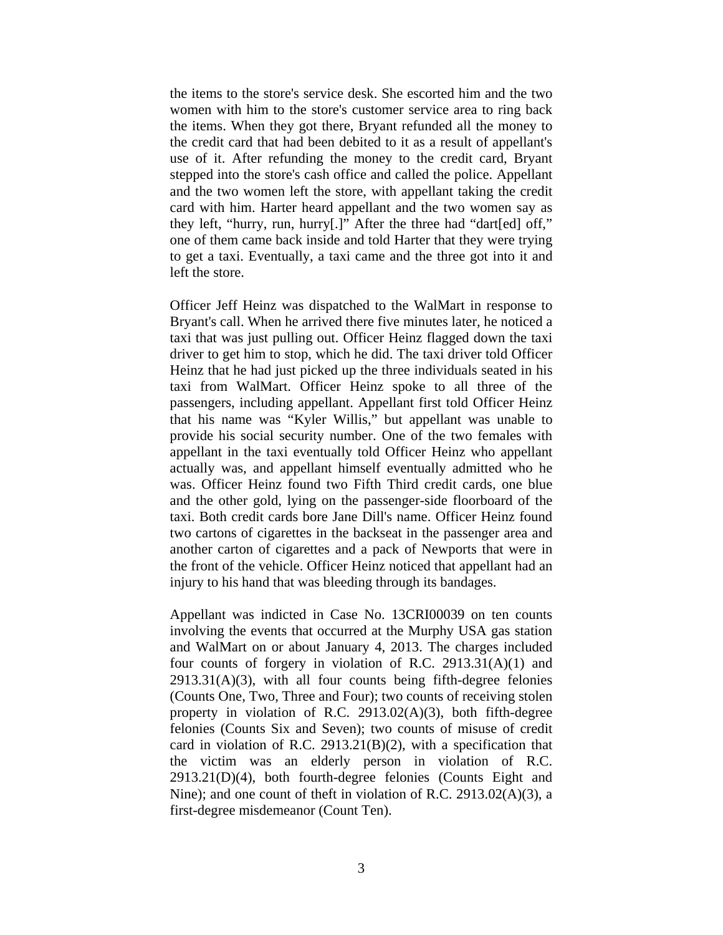the items to the store's service desk. She escorted him and the two women with him to the store's customer service area to ring back the items. When they got there, Bryant refunded all the money to the credit card that had been debited to it as a result of appellant's use of it. After refunding the money to the credit card, Bryant stepped into the store's cash office and called the police. Appellant and the two women left the store, with appellant taking the credit card with him. Harter heard appellant and the two women say as they left, "hurry, run, hurry[.]" After the three had "dart[ed] off," one of them came back inside and told Harter that they were trying to get a taxi. Eventually, a taxi came and the three got into it and left the store.

Officer Jeff Heinz was dispatched to the WalMart in response to Bryant's call. When he arrived there five minutes later, he noticed a taxi that was just pulling out. Officer Heinz flagged down the taxi driver to get him to stop, which he did. The taxi driver told Officer Heinz that he had just picked up the three individuals seated in his taxi from WalMart. Officer Heinz spoke to all three of the passengers, including appellant. Appellant first told Officer Heinz that his name was "Kyler Willis," but appellant was unable to provide his social security number. One of the two females with appellant in the taxi eventually told Officer Heinz who appellant actually was, and appellant himself eventually admitted who he was. Officer Heinz found two Fifth Third credit cards, one blue and the other gold, lying on the passenger-side floorboard of the taxi. Both credit cards bore Jane Dill's name. Officer Heinz found two cartons of cigarettes in the backseat in the passenger area and another carton of cigarettes and a pack of Newports that were in the front of the vehicle. Officer Heinz noticed that appellant had an injury to his hand that was bleeding through its bandages.

Appellant was indicted in Case No. 13CRI00039 on ten counts involving the events that occurred at the Murphy USA gas station and WalMart on or about January 4, 2013. The charges included four counts of forgery in violation of R.C. 2913.31(A)(1) and  $2913.31(A)(3)$ , with all four counts being fifth-degree felonies (Counts One, Two, Three and Four); two counts of receiving stolen property in violation of R.C. 2913.02(A)(3), both fifth-degree felonies (Counts Six and Seven); two counts of misuse of credit card in violation of R.C. 2913.21 $(B)(2)$ , with a specification that the victim was an elderly person in violation of R.C. 2913.21(D)(4), both fourth-degree felonies (Counts Eight and Nine); and one count of theft in violation of R.C. 2913.02(A)(3), a first-degree misdemeanor (Count Ten).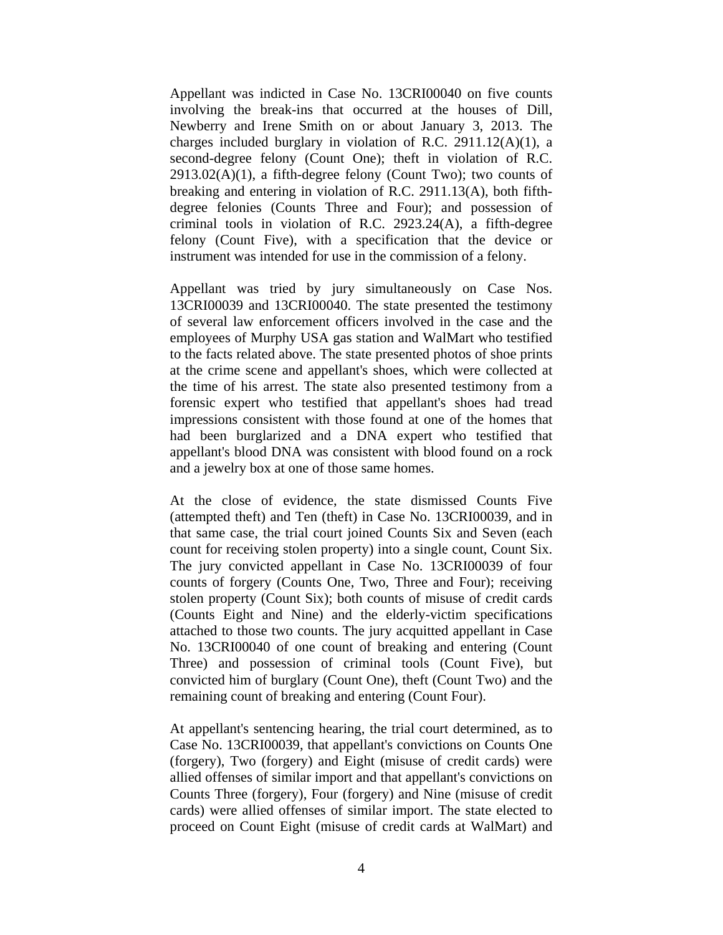Appellant was indicted in Case No. 13CRI00040 on five counts involving the break-ins that occurred at the houses of Dill, Newberry and Irene Smith on or about January 3, 2013. The charges included burglary in violation of R.C. 2911.12(A)(1), a second-degree felony (Count One); theft in violation of R.C.  $2913.02(A)(1)$ , a fifth-degree felony (Count Two); two counts of breaking and entering in violation of R.C. 2911.13(A), both fifthdegree felonies (Counts Three and Four); and possession of criminal tools in violation of R.C. 2923.24(A), a fifth-degree felony (Count Five), with a specification that the device or instrument was intended for use in the commission of a felony.

Appellant was tried by jury simultaneously on Case Nos. 13CRI00039 and 13CRI00040. The state presented the testimony of several law enforcement officers involved in the case and the employees of Murphy USA gas station and WalMart who testified to the facts related above. The state presented photos of shoe prints at the crime scene and appellant's shoes, which were collected at the time of his arrest. The state also presented testimony from a forensic expert who testified that appellant's shoes had tread impressions consistent with those found at one of the homes that had been burglarized and a DNA expert who testified that appellant's blood DNA was consistent with blood found on a rock and a jewelry box at one of those same homes.

At the close of evidence, the state dismissed Counts Five (attempted theft) and Ten (theft) in Case No. 13CRI00039, and in that same case, the trial court joined Counts Six and Seven (each count for receiving stolen property) into a single count, Count Six. The jury convicted appellant in Case No. 13CRI00039 of four counts of forgery (Counts One, Two, Three and Four); receiving stolen property (Count Six); both counts of misuse of credit cards (Counts Eight and Nine) and the elderly-victim specifications attached to those two counts. The jury acquitted appellant in Case No. 13CRI00040 of one count of breaking and entering (Count Three) and possession of criminal tools (Count Five), but convicted him of burglary (Count One), theft (Count Two) and the remaining count of breaking and entering (Count Four).

At appellant's sentencing hearing, the trial court determined, as to Case No. 13CRI00039, that appellant's convictions on Counts One (forgery), Two (forgery) and Eight (misuse of credit cards) were allied offenses of similar import and that appellant's convictions on Counts Three (forgery), Four (forgery) and Nine (misuse of credit cards) were allied offenses of similar import. The state elected to proceed on Count Eight (misuse of credit cards at WalMart) and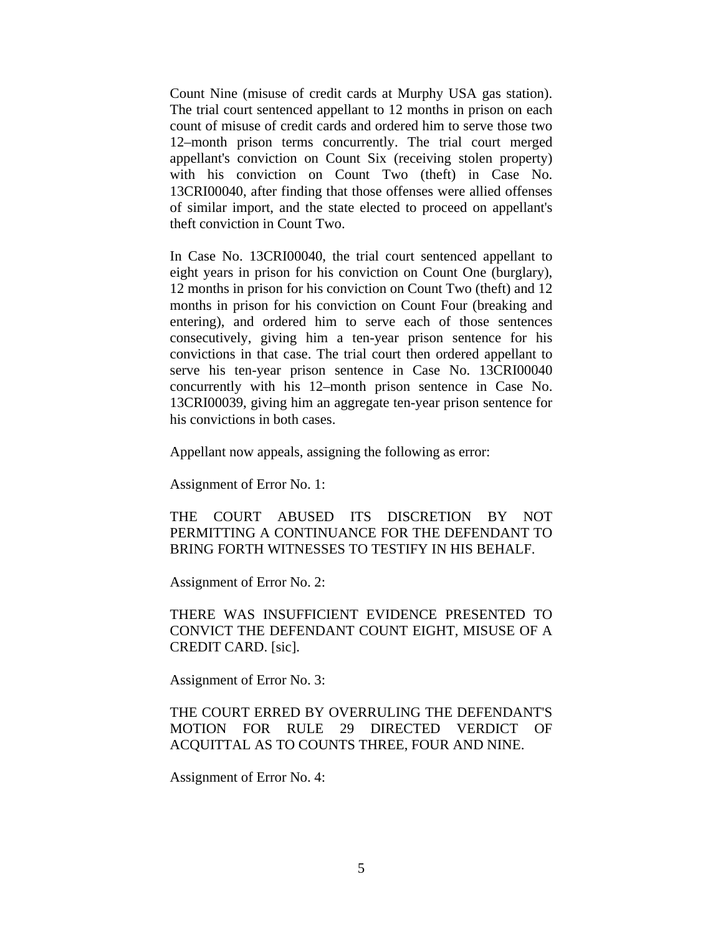Count Nine (misuse of credit cards at Murphy USA gas station). The trial court sentenced appellant to 12 months in prison on each count of misuse of credit cards and ordered him to serve those two 12–month prison terms concurrently. The trial court merged appellant's conviction on Count Six (receiving stolen property) with his conviction on Count Two (theft) in Case No. 13CRI00040, after finding that those offenses were allied offenses of similar import, and the state elected to proceed on appellant's theft conviction in Count Two.

In Case No. 13CRI00040, the trial court sentenced appellant to eight years in prison for his conviction on Count One (burglary), 12 months in prison for his conviction on Count Two (theft) and 12 months in prison for his conviction on Count Four (breaking and entering), and ordered him to serve each of those sentences consecutively, giving him a ten-year prison sentence for his convictions in that case. The trial court then ordered appellant to serve his ten-year prison sentence in Case No. 13CRI00040 concurrently with his 12–month prison sentence in Case No. 13CRI00039, giving him an aggregate ten-year prison sentence for his convictions in both cases.

Appellant now appeals, assigning the following as error:

Assignment of Error No. 1:

THE COURT ABUSED ITS DISCRETION BY NOT PERMITTING A CONTINUANCE FOR THE DEFENDANT TO BRING FORTH WITNESSES TO TESTIFY IN HIS BEHALF.

Assignment of Error No. 2:

THERE WAS INSUFFICIENT EVIDENCE PRESENTED TO CONVICT THE DEFENDANT COUNT EIGHT, MISUSE OF A CREDIT CARD. [sic].

Assignment of Error No. 3:

THE COURT ERRED BY OVERRULING THE DEFENDANT'S MOTION FOR RULE 29 DIRECTED VERDICT OF ACQUITTAL AS TO COUNTS THREE, FOUR AND NINE.

Assignment of Error No. 4: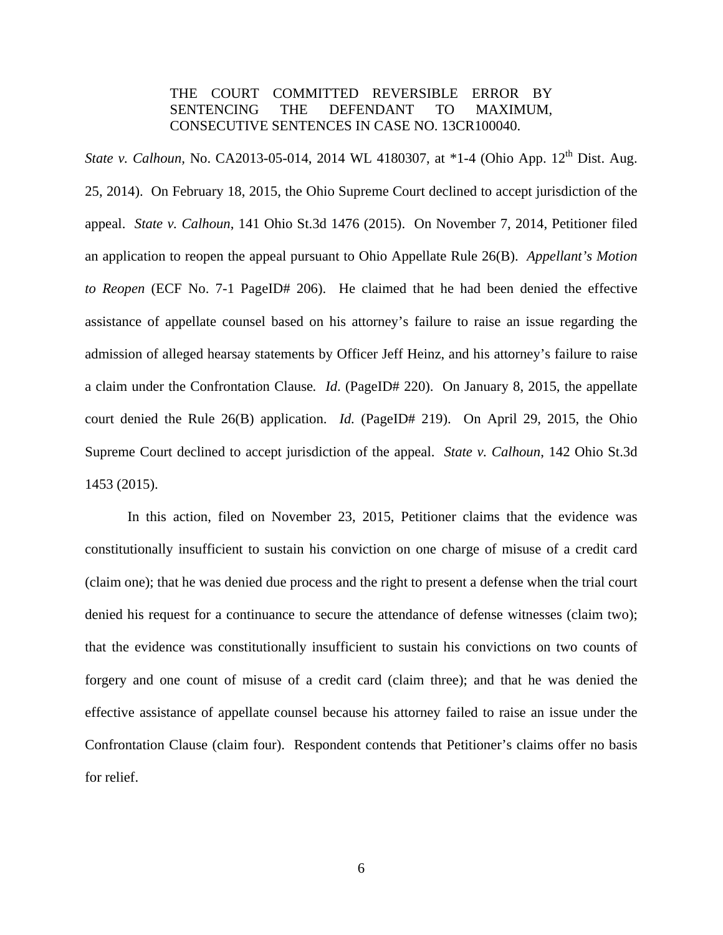# THE COURT COMMITTED REVERSIBLE ERROR BY SENTENCING THE DEFENDANT TO MAXIMUM, CONSECUTIVE SENTENCES IN CASE NO. 13CR100040.

*State v. Calhoun, No. CA2013-05-014, 2014 WL 4180307, at \*1-4 (Ohio App. 12<sup>th</sup> Dist. Aug.* 25, 2014). On February 18, 2015, the Ohio Supreme Court declined to accept jurisdiction of the appeal. *State v. Calhoun*, 141 Ohio St.3d 1476 (2015). On November 7, 2014, Petitioner filed an application to reopen the appeal pursuant to Ohio Appellate Rule 26(B). *Appellant's Motion to Reopen* (ECF No. 7-1 PageID# 206). He claimed that he had been denied the effective assistance of appellate counsel based on his attorney's failure to raise an issue regarding the admission of alleged hearsay statements by Officer Jeff Heinz, and his attorney's failure to raise a claim under the Confrontation Clause*. Id*. (PageID# 220). On January 8, 2015, the appellate court denied the Rule 26(B) application. *Id.* (PageID# 219). On April 29, 2015, the Ohio Supreme Court declined to accept jurisdiction of the appeal. *State v. Calhoun*, 142 Ohio St.3d 1453 (2015).

 In this action, filed on November 23, 2015, Petitioner claims that the evidence was constitutionally insufficient to sustain his conviction on one charge of misuse of a credit card (claim one); that he was denied due process and the right to present a defense when the trial court denied his request for a continuance to secure the attendance of defense witnesses (claim two); that the evidence was constitutionally insufficient to sustain his convictions on two counts of forgery and one count of misuse of a credit card (claim three); and that he was denied the effective assistance of appellate counsel because his attorney failed to raise an issue under the Confrontation Clause (claim four). Respondent contends that Petitioner's claims offer no basis for relief.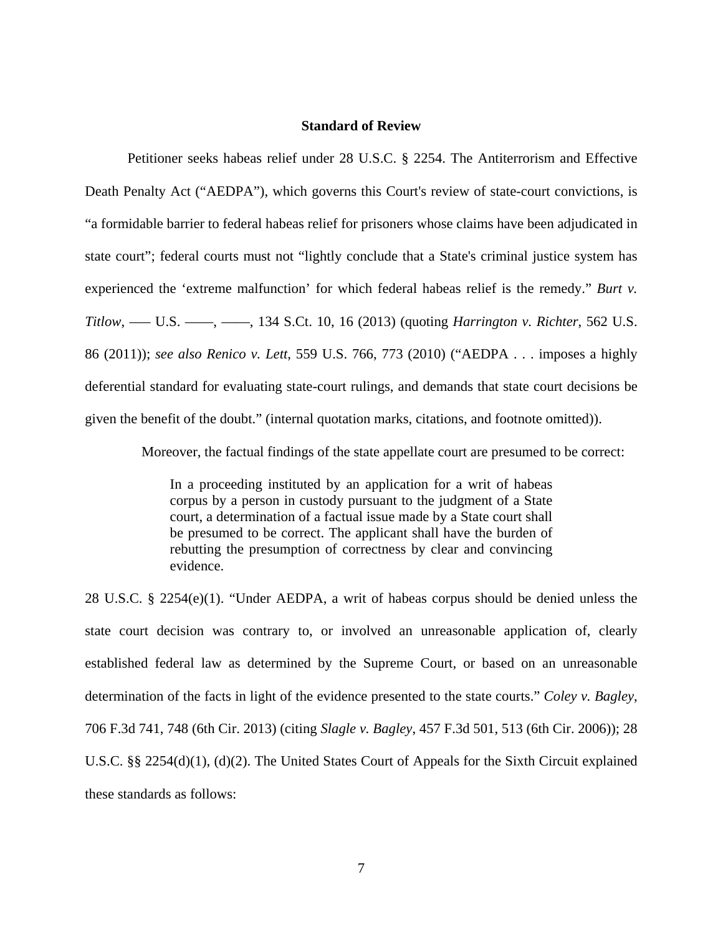### **Standard of Review**

Petitioner seeks habeas relief under 28 U.S.C. § 2254. The Antiterrorism and Effective Death Penalty Act ("AEDPA"), which governs this Court's review of state-court convictions, is "a formidable barrier to federal habeas relief for prisoners whose claims have been adjudicated in state court"; federal courts must not "lightly conclude that a State's criminal justice system has experienced the 'extreme malfunction' for which federal habeas relief is the remedy." *Burt v. Titlow*, ––– U.S. ––––, ––––, 134 S.Ct. 10, 16 (2013) (quoting *Harrington v. Richter*, 562 U.S. 86 (2011)); *see also Renico v. Lett*, 559 U.S. 766, 773 (2010) ("AEDPA . . . imposes a highly deferential standard for evaluating state-court rulings, and demands that state court decisions be given the benefit of the doubt." (internal quotation marks, citations, and footnote omitted)).

Moreover, the factual findings of the state appellate court are presumed to be correct:

In a proceeding instituted by an application for a writ of habeas corpus by a person in custody pursuant to the judgment of a State court, a determination of a factual issue made by a State court shall be presumed to be correct. The applicant shall have the burden of rebutting the presumption of correctness by clear and convincing evidence.

28 U.S.C. § 2254(e)(1). "Under AEDPA, a writ of habeas corpus should be denied unless the state court decision was contrary to, or involved an unreasonable application of, clearly established federal law as determined by the Supreme Court, or based on an unreasonable determination of the facts in light of the evidence presented to the state courts." *Coley v. Bagley*, 706 F.3d 741, 748 (6th Cir. 2013) (citing *Slagle v. Bagley*, 457 F.3d 501, 513 (6th Cir. 2006)); 28 U.S.C. §§ 2254(d)(1), (d)(2). The United States Court of Appeals for the Sixth Circuit explained these standards as follows: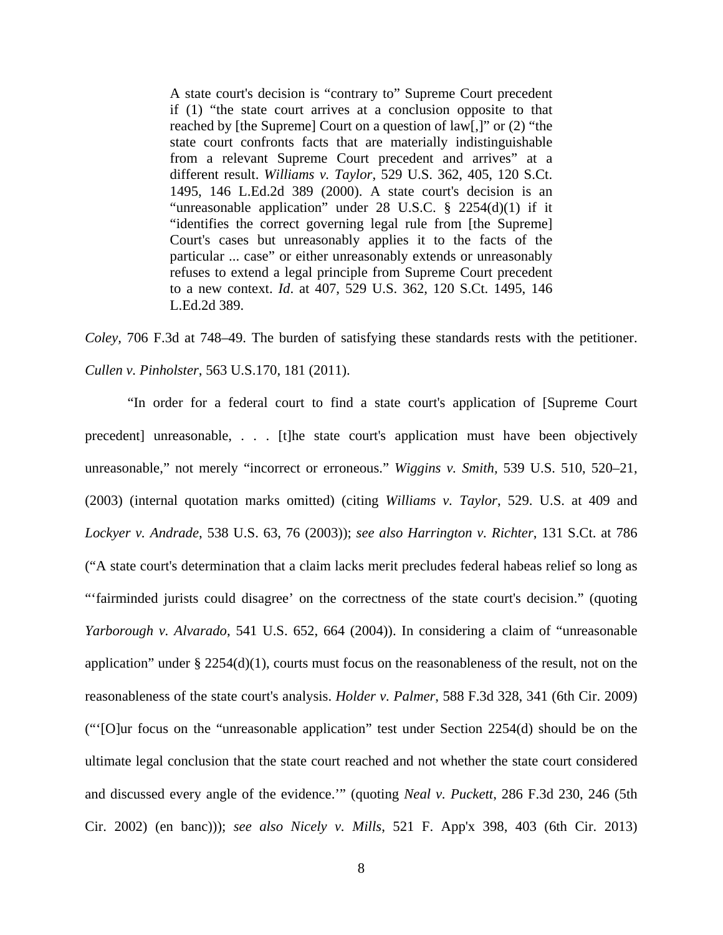A state court's decision is "contrary to" Supreme Court precedent if (1) "the state court arrives at a conclusion opposite to that reached by [the Supreme] Court on a question of law[,]" or (2) "the state court confronts facts that are materially indistinguishable from a relevant Supreme Court precedent and arrives" at a different result. *Williams v. Taylor*, 529 U.S. 362, 405, 120 S.Ct. 1495, 146 L.Ed.2d 389 (2000). A state court's decision is an "unreasonable application" under 28 U.S.C.  $\S$  2254(d)(1) if it "identifies the correct governing legal rule from [the Supreme] Court's cases but unreasonably applies it to the facts of the particular ... case" or either unreasonably extends or unreasonably refuses to extend a legal principle from Supreme Court precedent to a new context. *Id*. at 407, 529 U.S. 362, 120 S.Ct. 1495, 146 L.Ed.2d 389.

*Coley,* 706 F.3d at 748–49. The burden of satisfying these standards rests with the petitioner. *Cullen v. Pinholster*, 563 U.S.170, 181 (2011).

"In order for a federal court to find a state court's application of [Supreme Court precedent] unreasonable, . . . [t]he state court's application must have been objectively unreasonable," not merely "incorrect or erroneous." *Wiggins v. Smith,* 539 U.S. 510, 520–21, (2003) (internal quotation marks omitted) (citing *Williams v. Taylor*, 529. U.S. at 409 and *Lockyer v. Andrade*, 538 U.S. 63, 76 (2003)); *see also Harrington v. Richter*, 131 S.Ct. at 786 ("A state court's determination that a claim lacks merit precludes federal habeas relief so long as "'fairminded jurists could disagree' on the correctness of the state court's decision." (quoting *Yarborough v. Alvarado*, 541 U.S. 652, 664 (2004)). In considering a claim of "unreasonable application" under  $\S 2254(d)(1)$ , courts must focus on the reasonableness of the result, not on the reasonableness of the state court's analysis. *Holder v. Palmer*, 588 F.3d 328, 341 (6th Cir. 2009) ("'[O]ur focus on the "unreasonable application" test under Section 2254(d) should be on the ultimate legal conclusion that the state court reached and not whether the state court considered and discussed every angle of the evidence.'" (quoting *Neal v. Puckett*, 286 F.3d 230, 246 (5th Cir. 2002) (en banc))); *see also Nicely v. Mills*, 521 F. App'x 398, 403 (6th Cir. 2013)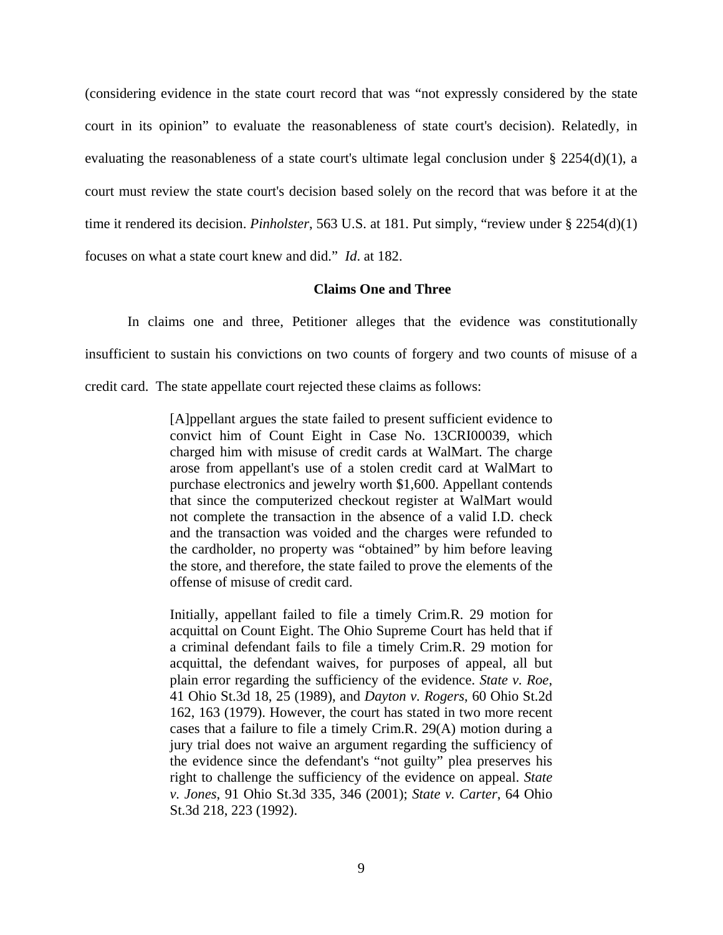(considering evidence in the state court record that was "not expressly considered by the state court in its opinion" to evaluate the reasonableness of state court's decision). Relatedly, in evaluating the reasonableness of a state court's ultimate legal conclusion under  $\S$  2254(d)(1), a court must review the state court's decision based solely on the record that was before it at the time it rendered its decision. *Pinholster*, 563 U.S. at 181. Put simply, "review under § 2254(d)(1) focuses on what a state court knew and did." *Id*. at 182.

### **Claims One and Three**

In claims one and three, Petitioner alleges that the evidence was constitutionally insufficient to sustain his convictions on two counts of forgery and two counts of misuse of a credit card. The state appellate court rejected these claims as follows:

> [A]ppellant argues the state failed to present sufficient evidence to convict him of Count Eight in Case No. 13CRI00039, which charged him with misuse of credit cards at WalMart. The charge arose from appellant's use of a stolen credit card at WalMart to purchase electronics and jewelry worth \$1,600. Appellant contends that since the computerized checkout register at WalMart would not complete the transaction in the absence of a valid I.D. check and the transaction was voided and the charges were refunded to the cardholder, no property was "obtained" by him before leaving the store, and therefore, the state failed to prove the elements of the offense of misuse of credit card.

> Initially, appellant failed to file a timely Crim.R. 29 motion for acquittal on Count Eight. The Ohio Supreme Court has held that if a criminal defendant fails to file a timely Crim.R. 29 motion for acquittal, the defendant waives, for purposes of appeal, all but plain error regarding the sufficiency of the evidence. *State v. Roe*, 41 Ohio St.3d 18, 25 (1989), and *Dayton v. Rogers*, 60 Ohio St.2d 162, 163 (1979). However, the court has stated in two more recent cases that a failure to file a timely Crim.R. 29(A) motion during a jury trial does not waive an argument regarding the sufficiency of the evidence since the defendant's "not guilty" plea preserves his right to challenge the sufficiency of the evidence on appeal. *State v. Jones*, 91 Ohio St.3d 335, 346 (2001); *State v. Carter*, 64 Ohio St.3d 218, 223 (1992).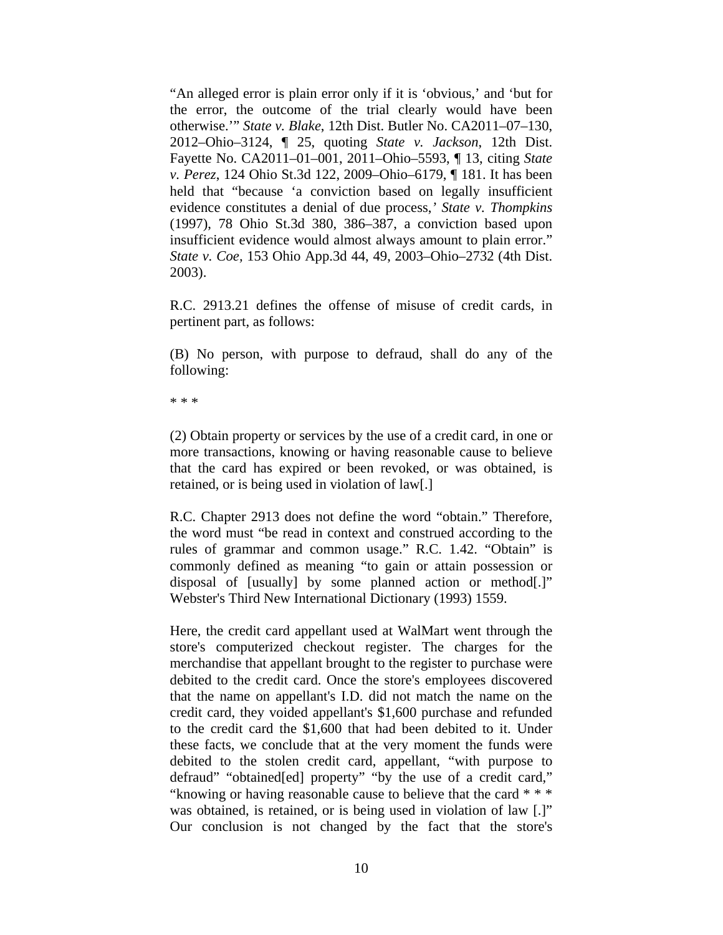"An alleged error is plain error only if it is 'obvious,' and 'but for the error, the outcome of the trial clearly would have been otherwise.'" *State v. Blake*, 12th Dist. Butler No. CA2011–07–130, 2012–Ohio–3124, ¶ 25, quoting *State v. Jackson*, 12th Dist. Fayette No. CA2011–01–001, 2011–Ohio–5593, ¶ 13, citing *State v. Perez*, 124 Ohio St.3d 122, 2009–Ohio–6179, ¶ 181. It has been held that "because 'a conviction based on legally insufficient evidence constitutes a denial of due process,*' State v. Thompkins* (1997), 78 Ohio St.3d 380, 386–387, a conviction based upon insufficient evidence would almost always amount to plain error." *State v. Coe,* 153 Ohio App.3d 44, 49, 2003–Ohio–2732 (4th Dist. 2003).

R.C. 2913.21 defines the offense of misuse of credit cards, in pertinent part, as follows:

(B) No person, with purpose to defraud, shall do any of the following:

\* \* \*

(2) Obtain property or services by the use of a credit card, in one or more transactions, knowing or having reasonable cause to believe that the card has expired or been revoked, or was obtained, is retained, or is being used in violation of law[.]

R.C. Chapter 2913 does not define the word "obtain." Therefore, the word must "be read in context and construed according to the rules of grammar and common usage." R.C. 1.42. "Obtain" is commonly defined as meaning "to gain or attain possession or disposal of [usually] by some planned action or method[.]" Webster's Third New International Dictionary (1993) 1559.

Here, the credit card appellant used at WalMart went through the store's computerized checkout register. The charges for the merchandise that appellant brought to the register to purchase were debited to the credit card. Once the store's employees discovered that the name on appellant's I.D. did not match the name on the credit card, they voided appellant's \$1,600 purchase and refunded to the credit card the \$1,600 that had been debited to it. Under these facts, we conclude that at the very moment the funds were debited to the stolen credit card, appellant, "with purpose to defraud" "obtained[ed] property" "by the use of a credit card," "knowing or having reasonable cause to believe that the card \* \* \* was obtained, is retained, or is being used in violation of law [.]" Our conclusion is not changed by the fact that the store's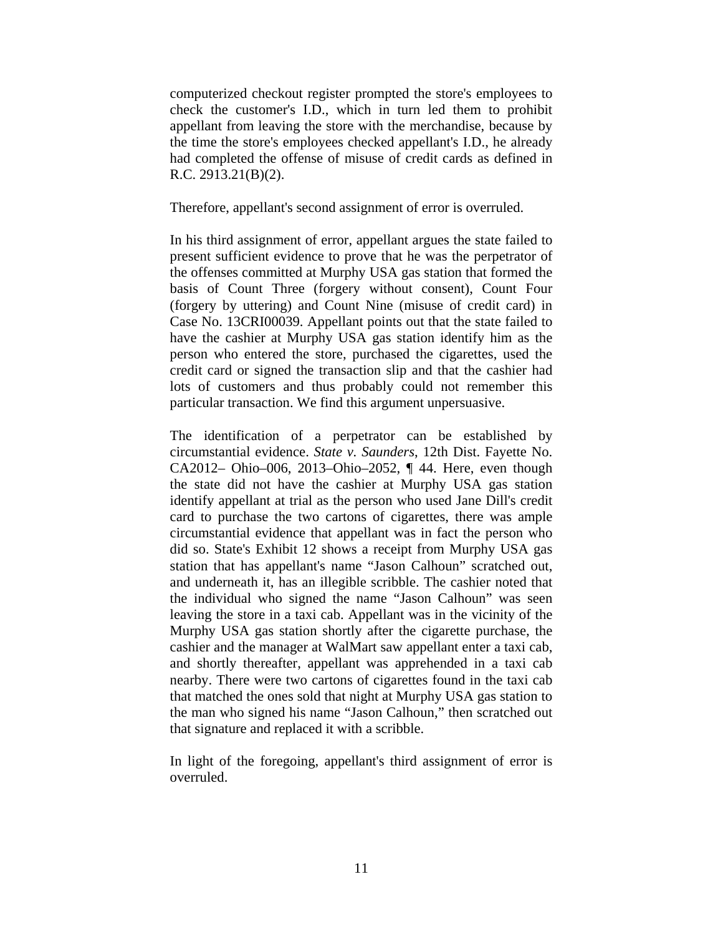computerized checkout register prompted the store's employees to check the customer's I.D., which in turn led them to prohibit appellant from leaving the store with the merchandise, because by the time the store's employees checked appellant's I.D., he already had completed the offense of misuse of credit cards as defined in R.C. 2913.21(B)(2).

Therefore, appellant's second assignment of error is overruled.

In his third assignment of error, appellant argues the state failed to present sufficient evidence to prove that he was the perpetrator of the offenses committed at Murphy USA gas station that formed the basis of Count Three (forgery without consent), Count Four (forgery by uttering) and Count Nine (misuse of credit card) in Case No. 13CRI00039. Appellant points out that the state failed to have the cashier at Murphy USA gas station identify him as the person who entered the store, purchased the cigarettes, used the credit card or signed the transaction slip and that the cashier had lots of customers and thus probably could not remember this particular transaction. We find this argument unpersuasive.

The identification of a perpetrator can be established by circumstantial evidence. *State v. Saunders*, 12th Dist. Fayette No. CA2012– Ohio–006, 2013–Ohio–2052, ¶ 44. Here, even though the state did not have the cashier at Murphy USA gas station identify appellant at trial as the person who used Jane Dill's credit card to purchase the two cartons of cigarettes, there was ample circumstantial evidence that appellant was in fact the person who did so. State's Exhibit 12 shows a receipt from Murphy USA gas station that has appellant's name "Jason Calhoun" scratched out, and underneath it, has an illegible scribble. The cashier noted that the individual who signed the name "Jason Calhoun" was seen leaving the store in a taxi cab. Appellant was in the vicinity of the Murphy USA gas station shortly after the cigarette purchase, the cashier and the manager at WalMart saw appellant enter a taxi cab, and shortly thereafter, appellant was apprehended in a taxi cab nearby. There were two cartons of cigarettes found in the taxi cab that matched the ones sold that night at Murphy USA gas station to the man who signed his name "Jason Calhoun," then scratched out that signature and replaced it with a scribble.

In light of the foregoing, appellant's third assignment of error is overruled.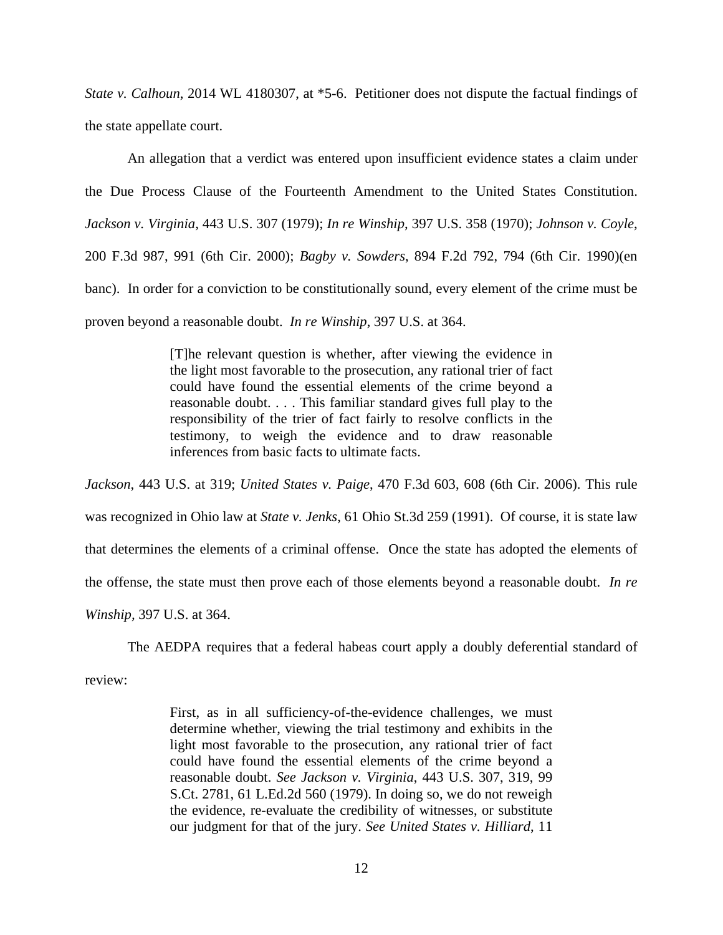*State v. Calhoun*, 2014 WL 4180307, at \*5-6. Petitioner does not dispute the factual findings of the state appellate court.

 An allegation that a verdict was entered upon insufficient evidence states a claim under the Due Process Clause of the Fourteenth Amendment to the United States Constitution. *Jackson v. Virginia*, 443 U.S. 307 (1979); *In re Winship*, 397 U.S. 358 (1970); *Johnson v. Coyle*, 200 F.3d 987, 991 (6th Cir. 2000); *Bagby v. Sowders*, 894 F.2d 792, 794 (6th Cir. 1990)(en banc). In order for a conviction to be constitutionally sound, every element of the crime must be proven beyond a reasonable doubt. *In re Winship*, 397 U.S. at 364.

> [T]he relevant question is whether, after viewing the evidence in the light most favorable to the prosecution, any rational trier of fact could have found the essential elements of the crime beyond a reasonable doubt. . . . This familiar standard gives full play to the responsibility of the trier of fact fairly to resolve conflicts in the testimony, to weigh the evidence and to draw reasonable inferences from basic facts to ultimate facts.

*Jackson*, 443 U.S. at 319; *United States v. Paige*, 470 F.3d 603, 608 (6th Cir. 2006). This rule was recognized in Ohio law at *State v. Jenks*, 61 Ohio St.3d 259 (1991). Of course, it is state law that determines the elements of a criminal offense. Once the state has adopted the elements of the offense, the state must then prove each of those elements beyond a reasonable doubt. *In re Winship,* 397 U.S. at 364.

The AEDPA requires that a federal habeas court apply a doubly deferential standard of

review:

First, as in all sufficiency-of-the-evidence challenges, we must determine whether, viewing the trial testimony and exhibits in the light most favorable to the prosecution, any rational trier of fact could have found the essential elements of the crime beyond a reasonable doubt. *See Jackson v. Virginia*, 443 U.S. 307, 319, 99 S.Ct. 2781, 61 L.Ed.2d 560 (1979). In doing so, we do not reweigh the evidence, re-evaluate the credibility of witnesses, or substitute our judgment for that of the jury. *See United States v. Hilliard*, 11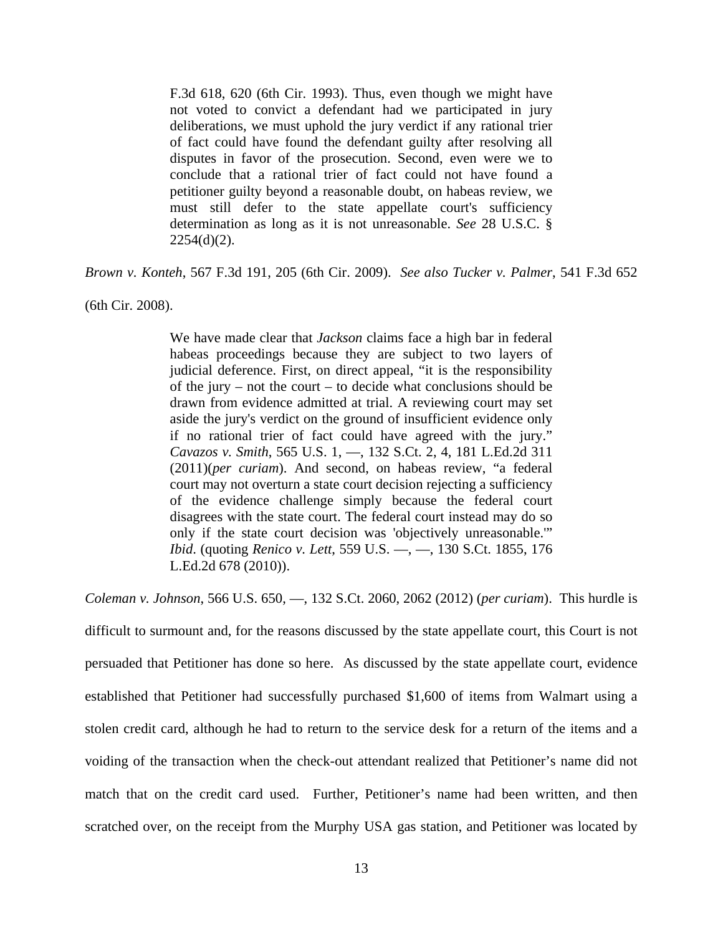F.3d 618, 620 (6th Cir. 1993). Thus, even though we might have not voted to convict a defendant had we participated in jury deliberations, we must uphold the jury verdict if any rational trier of fact could have found the defendant guilty after resolving all disputes in favor of the prosecution. Second, even were we to conclude that a rational trier of fact could not have found a petitioner guilty beyond a reasonable doubt, on habeas review, we must still defer to the state appellate court's sufficiency determination as long as it is not unreasonable. *See* 28 U.S.C. §  $2254(d)(2)$ .

*Brown v. Konteh*, 567 F.3d 191, 205 (6th Cir. 2009). *See also Tucker v. Palmer*, 541 F.3d 652

(6th Cir. 2008).

We have made clear that *Jackson* claims face a high bar in federal habeas proceedings because they are subject to two layers of judicial deference. First, on direct appeal, "it is the responsibility of the jury – not the court – to decide what conclusions should be drawn from evidence admitted at trial. A reviewing court may set aside the jury's verdict on the ground of insufficient evidence only if no rational trier of fact could have agreed with the jury." *Cavazos v. Smith*, 565 U.S. 1, —, 132 S.Ct. 2, 4, 181 L.Ed.2d 311 (2011)(*per curiam*). And second, on habeas review, "a federal court may not overturn a state court decision rejecting a sufficiency of the evidence challenge simply because the federal court disagrees with the state court. The federal court instead may do so only if the state court decision was 'objectively unreasonable.'" *Ibid*. (quoting *Renico v. Lett*, 559 U.S. —, —, 130 S.Ct. 1855, 176 L.Ed.2d 678 (2010)).

*Coleman v. Johnson*, 566 U.S. 650, —, 132 S.Ct. 2060, 2062 (2012) (*per curiam*). This hurdle is difficult to surmount and, for the reasons discussed by the state appellate court, this Court is not persuaded that Petitioner has done so here. As discussed by the state appellate court, evidence established that Petitioner had successfully purchased \$1,600 of items from Walmart using a stolen credit card, although he had to return to the service desk for a return of the items and a voiding of the transaction when the check-out attendant realized that Petitioner's name did not match that on the credit card used. Further, Petitioner's name had been written, and then scratched over, on the receipt from the Murphy USA gas station, and Petitioner was located by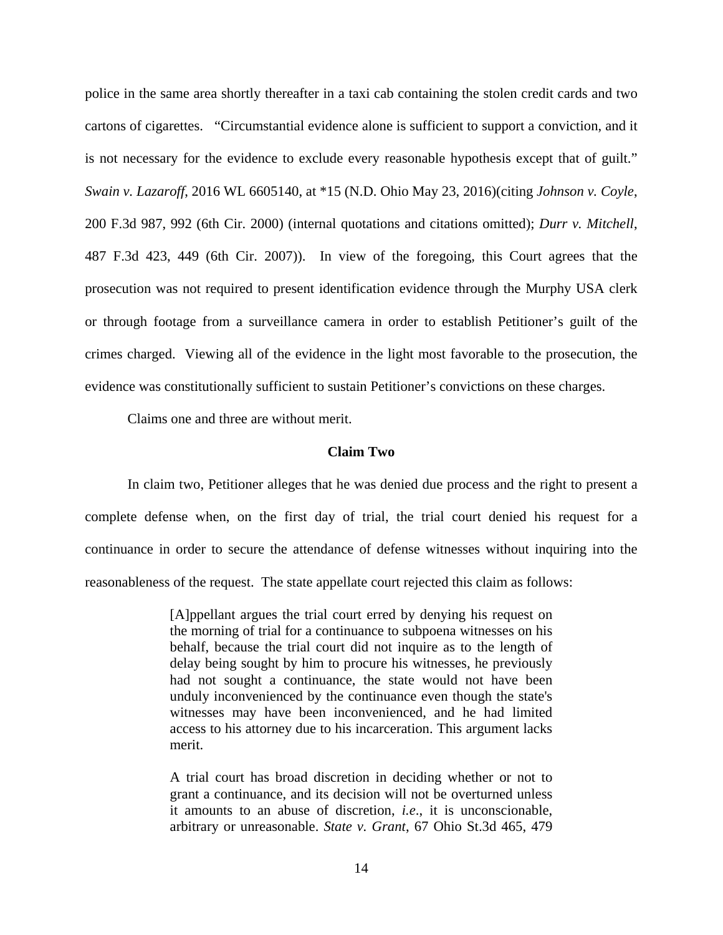police in the same area shortly thereafter in a taxi cab containing the stolen credit cards and two cartons of cigarettes. "Circumstantial evidence alone is sufficient to support a conviction, and it is not necessary for the evidence to exclude every reasonable hypothesis except that of guilt." *Swain v. Lazaroff*, 2016 WL 6605140, at \*15 (N.D. Ohio May 23, 2016)(citing *Johnson v. Coyle*, 200 F.3d 987, 992 (6th Cir. 2000) (internal quotations and citations omitted); *Durr v. Mitchell*, 487 F.3d 423, 449 (6th Cir. 2007)). In view of the foregoing, this Court agrees that the prosecution was not required to present identification evidence through the Murphy USA clerk or through footage from a surveillance camera in order to establish Petitioner's guilt of the crimes charged. Viewing all of the evidence in the light most favorable to the prosecution, the evidence was constitutionally sufficient to sustain Petitioner's convictions on these charges.

Claims one and three are without merit.

#### **Claim Two**

 In claim two, Petitioner alleges that he was denied due process and the right to present a complete defense when, on the first day of trial, the trial court denied his request for a continuance in order to secure the attendance of defense witnesses without inquiring into the reasonableness of the request. The state appellate court rejected this claim as follows:

> [A]ppellant argues the trial court erred by denying his request on the morning of trial for a continuance to subpoena witnesses on his behalf, because the trial court did not inquire as to the length of delay being sought by him to procure his witnesses, he previously had not sought a continuance, the state would not have been unduly inconvenienced by the continuance even though the state's witnesses may have been inconvenienced, and he had limited access to his attorney due to his incarceration. This argument lacks merit.

> A trial court has broad discretion in deciding whether or not to grant a continuance, and its decision will not be overturned unless it amounts to an abuse of discretion, *i.e*., it is unconscionable, arbitrary or unreasonable. *State v. Grant*, 67 Ohio St.3d 465, 479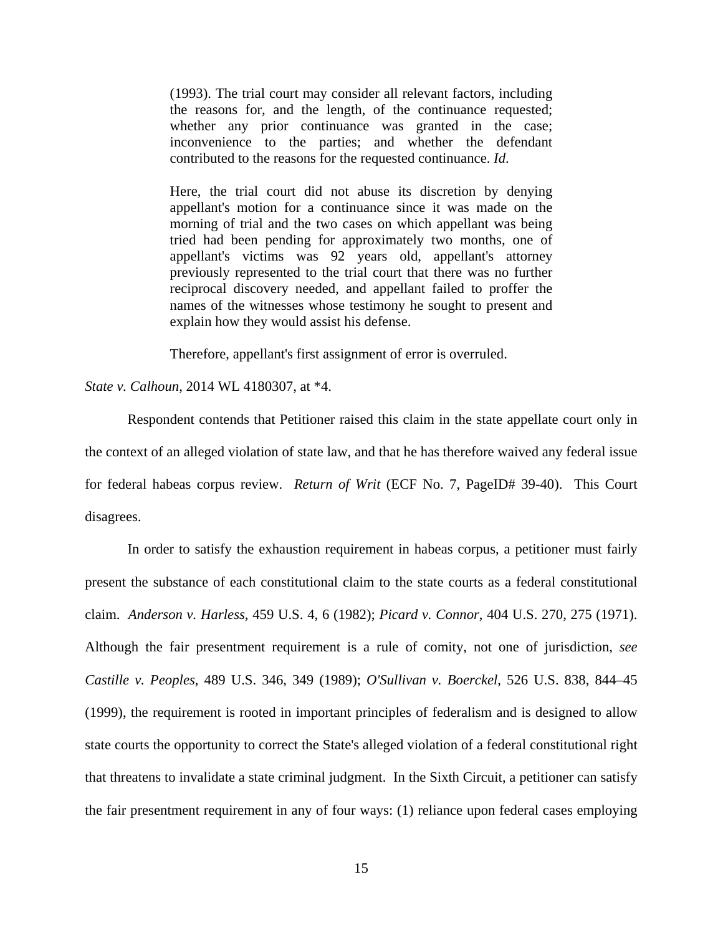(1993). The trial court may consider all relevant factors, including the reasons for, and the length, of the continuance requested; whether any prior continuance was granted in the case; inconvenience to the parties; and whether the defendant contributed to the reasons for the requested continuance. *Id*.

Here, the trial court did not abuse its discretion by denying appellant's motion for a continuance since it was made on the morning of trial and the two cases on which appellant was being tried had been pending for approximately two months, one of appellant's victims was 92 years old, appellant's attorney previously represented to the trial court that there was no further reciprocal discovery needed, and appellant failed to proffer the names of the witnesses whose testimony he sought to present and explain how they would assist his defense.

Therefore, appellant's first assignment of error is overruled.

*State v. Calhoun*, 2014 WL 4180307, at \*4.

 Respondent contends that Petitioner raised this claim in the state appellate court only in the context of an alleged violation of state law, and that he has therefore waived any federal issue for federal habeas corpus review. *Return of Writ* (ECF No. 7, PageID# 39-40). This Court disagrees.

In order to satisfy the exhaustion requirement in habeas corpus, a petitioner must fairly present the substance of each constitutional claim to the state courts as a federal constitutional claim. *Anderson v. Harless*, 459 U.S. 4, 6 (1982); *Picard v. Connor*, 404 U.S. 270, 275 (1971). Although the fair presentment requirement is a rule of comity, not one of jurisdiction, *see Castille v. Peoples*, 489 U.S. 346, 349 (1989); *O'Sullivan v. Boerckel*, 526 U.S. 838, 844–45 (1999), the requirement is rooted in important principles of federalism and is designed to allow state courts the opportunity to correct the State's alleged violation of a federal constitutional right that threatens to invalidate a state criminal judgment. In the Sixth Circuit, a petitioner can satisfy the fair presentment requirement in any of four ways: (1) reliance upon federal cases employing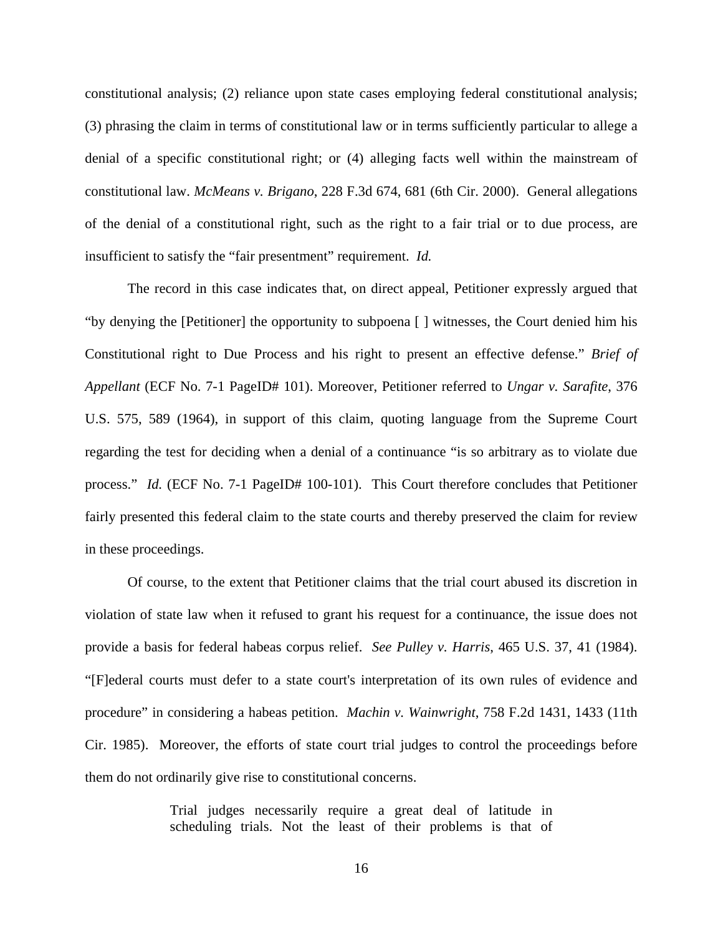constitutional analysis; (2) reliance upon state cases employing federal constitutional analysis; (3) phrasing the claim in terms of constitutional law or in terms sufficiently particular to allege a denial of a specific constitutional right; or (4) alleging facts well within the mainstream of constitutional law. *McMeans v. Brigano*, 228 F.3d 674, 681 (6th Cir. 2000). General allegations of the denial of a constitutional right, such as the right to a fair trial or to due process, are insufficient to satisfy the "fair presentment" requirement. *Id.* 

The record in this case indicates that, on direct appeal, Petitioner expressly argued that "by denying the [Petitioner] the opportunity to subpoena [ ] witnesses, the Court denied him his Constitutional right to Due Process and his right to present an effective defense." *Brief of Appellant* (ECF No. 7-1 PageID# 101). Moreover, Petitioner referred to *Ungar v. Sarafite*, 376 U.S. 575, 589 (1964), in support of this claim, quoting language from the Supreme Court regarding the test for deciding when a denial of a continuance "is so arbitrary as to violate due process." *Id.* (ECF No. 7-1 PageID# 100-101). This Court therefore concludes that Petitioner fairly presented this federal claim to the state courts and thereby preserved the claim for review in these proceedings.

Of course, to the extent that Petitioner claims that the trial court abused its discretion in violation of state law when it refused to grant his request for a continuance, the issue does not provide a basis for federal habeas corpus relief. *See Pulley v. Harris*, 465 U.S. 37, 41 (1984). "[F]ederal courts must defer to a state court's interpretation of its own rules of evidence and procedure" in considering a habeas petition. *Machin v. Wainwright*, 758 F.2d 1431, 1433 (11th Cir. 1985). Moreover, the efforts of state court trial judges to control the proceedings before them do not ordinarily give rise to constitutional concerns.

> Trial judges necessarily require a great deal of latitude in scheduling trials. Not the least of their problems is that of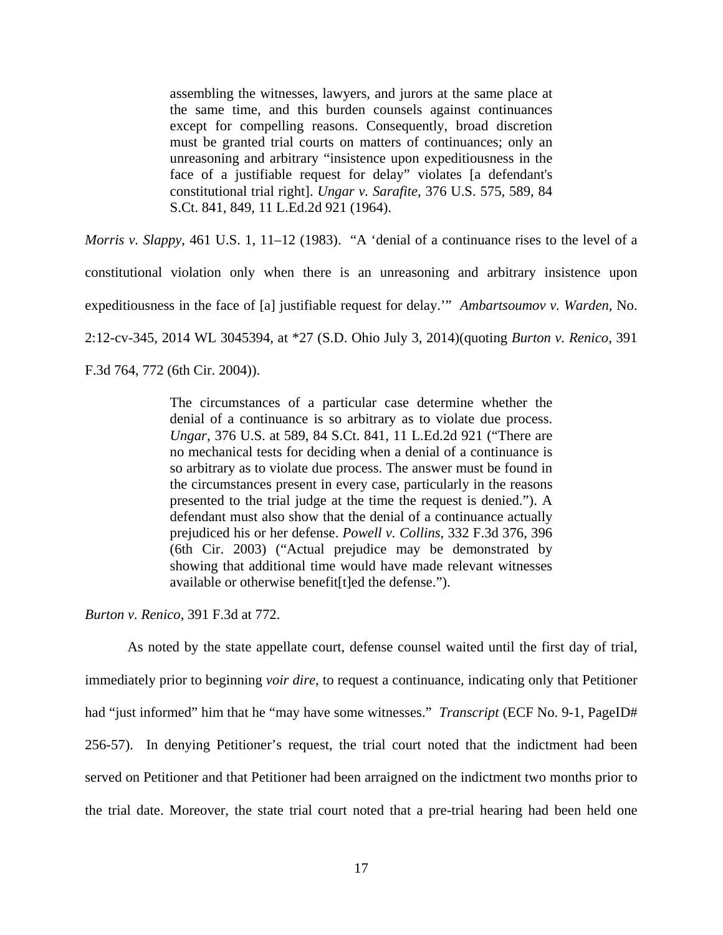assembling the witnesses, lawyers, and jurors at the same place at the same time, and this burden counsels against continuances except for compelling reasons. Consequently, broad discretion must be granted trial courts on matters of continuances; only an unreasoning and arbitrary "insistence upon expeditiousness in the face of a justifiable request for delay" violates [a defendant's constitutional trial right]. *Ungar v. Sarafite*, 376 U.S. 575, 589, 84 S.Ct. 841, 849, 11 L.Ed.2d 921 (1964).

*Morris v. Slappy*, 461 U.S. 1, 11–12 (1983). "A 'denial of a continuance rises to the level of a constitutional violation only when there is an unreasoning and arbitrary insistence upon expeditiousness in the face of [a] justifiable request for delay.'" *Ambartsoumov v. Warden*, No. 2:12-cv-345, 2014 WL 3045394, at \*27 (S.D. Ohio July 3, 2014)(quoting *Burton v. Renico*, 391 F.3d 764, 772 (6th Cir. 2004)).

> The circumstances of a particular case determine whether the denial of a continuance is so arbitrary as to violate due process. *Ungar*, 376 U.S. at 589, 84 S.Ct. 841, 11 L.Ed.2d 921 ("There are no mechanical tests for deciding when a denial of a continuance is so arbitrary as to violate due process. The answer must be found in the circumstances present in every case, particularly in the reasons presented to the trial judge at the time the request is denied."). A defendant must also show that the denial of a continuance actually prejudiced his or her defense. *Powell v. Collins*, 332 F.3d 376, 396 (6th Cir. 2003) ("Actual prejudice may be demonstrated by showing that additional time would have made relevant witnesses available or otherwise benefit[t]ed the defense.").

*Burton v. Renico*, 391 F.3d at 772.

As noted by the state appellate court, defense counsel waited until the first day of trial, immediately prior to beginning *voir dire*, to request a continuance, indicating only that Petitioner had "just informed" him that he "may have some witnesses." *Transcript* (ECF No. 9-1, PageID# 256-57). In denying Petitioner's request, the trial court noted that the indictment had been served on Petitioner and that Petitioner had been arraigned on the indictment two months prior to the trial date. Moreover, the state trial court noted that a pre-trial hearing had been held one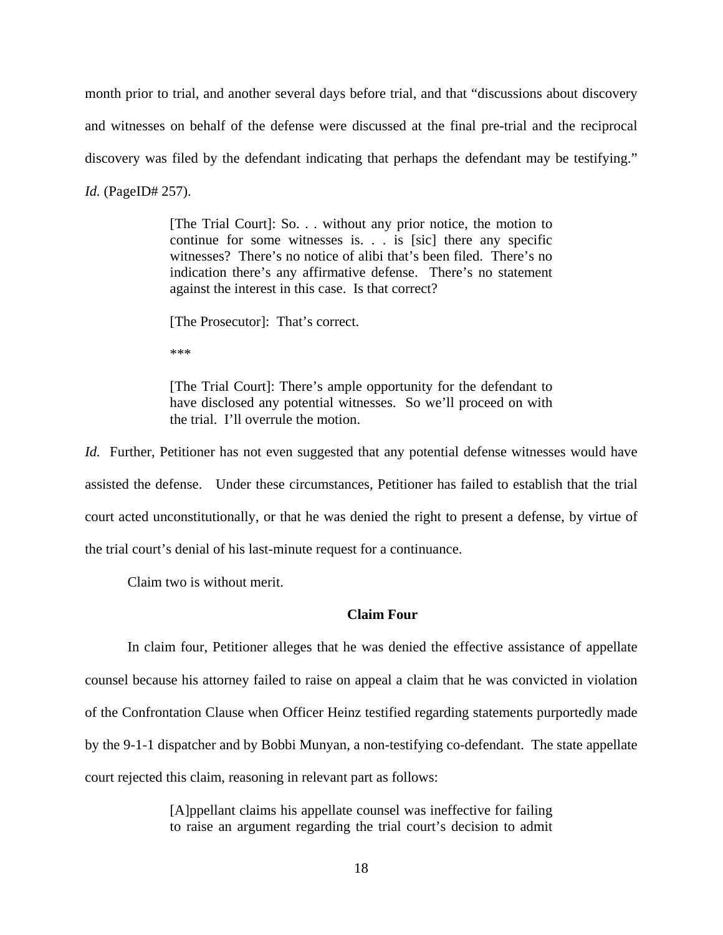month prior to trial, and another several days before trial, and that "discussions about discovery and witnesses on behalf of the defense were discussed at the final pre-trial and the reciprocal discovery was filed by the defendant indicating that perhaps the defendant may be testifying." *Id.* (PageID# 257).

> [The Trial Court]: So. . . without any prior notice, the motion to continue for some witnesses is. . . is [sic] there any specific witnesses? There's no notice of alibi that's been filed. There's no indication there's any affirmative defense. There's no statement against the interest in this case. Is that correct?

[The Prosecutor]: That's correct.

\*\*\*

[The Trial Court]: There's ample opportunity for the defendant to have disclosed any potential witnesses. So we'll proceed on with the trial. I'll overrule the motion.

*Id.* Further, Petitioner has not even suggested that any potential defense witnesses would have assisted the defense. Under these circumstances, Petitioner has failed to establish that the trial court acted unconstitutionally, or that he was denied the right to present a defense, by virtue of the trial court's denial of his last-minute request for a continuance.

Claim two is without merit.

### **Claim Four**

In claim four, Petitioner alleges that he was denied the effective assistance of appellate counsel because his attorney failed to raise on appeal a claim that he was convicted in violation of the Confrontation Clause when Officer Heinz testified regarding statements purportedly made by the 9-1-1 dispatcher and by Bobbi Munyan, a non-testifying co-defendant. The state appellate court rejected this claim, reasoning in relevant part as follows:

> [A]ppellant claims his appellate counsel was ineffective for failing to raise an argument regarding the trial court's decision to admit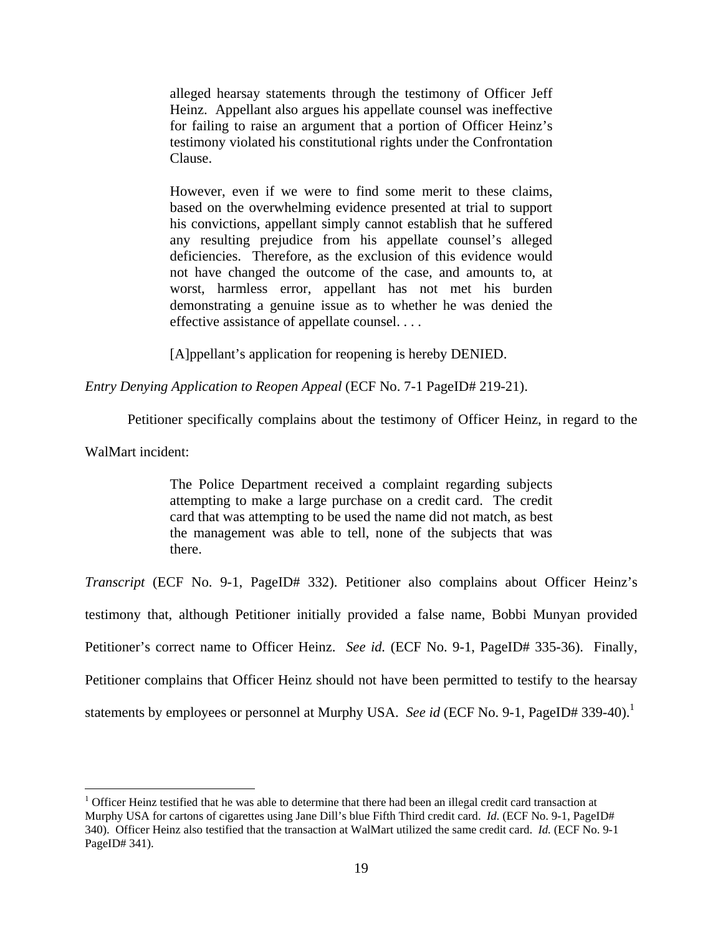alleged hearsay statements through the testimony of Officer Jeff Heinz. Appellant also argues his appellate counsel was ineffective for failing to raise an argument that a portion of Officer Heinz's testimony violated his constitutional rights under the Confrontation Clause.

However, even if we were to find some merit to these claims, based on the overwhelming evidence presented at trial to support his convictions, appellant simply cannot establish that he suffered any resulting prejudice from his appellate counsel's alleged deficiencies. Therefore, as the exclusion of this evidence would not have changed the outcome of the case, and amounts to, at worst, harmless error, appellant has not met his burden demonstrating a genuine issue as to whether he was denied the effective assistance of appellate counsel. . . .

[A]ppellant's application for reopening is hereby DENIED.

*Entry Denying Application to Reopen Appeal* (ECF No. 7-1 PageID# 219-21).

Petitioner specifically complains about the testimony of Officer Heinz, in regard to the

WalMart incident:

<u>.</u>

The Police Department received a complaint regarding subjects attempting to make a large purchase on a credit card. The credit card that was attempting to be used the name did not match, as best the management was able to tell, none of the subjects that was there.

*Transcript* (ECF No. 9-1, PageID# 332). Petitioner also complains about Officer Heinz's testimony that, although Petitioner initially provided a false name, Bobbi Munyan provided Petitioner's correct name to Officer Heinz. *See id.* (ECF No. 9-1, PageID# 335-36). Finally, Petitioner complains that Officer Heinz should not have been permitted to testify to the hearsay statements by employees or personnel at Murphy USA. *See id* (ECF No. 9-1, PageID# 339-40).<sup>1</sup>

<sup>&</sup>lt;sup>1</sup> Officer Heinz testified that he was able to determine that there had been an illegal credit card transaction at Murphy USA for cartons of cigarettes using Jane Dill's blue Fifth Third credit card. *Id.* (ECF No. 9-1, PageID# 340). Officer Heinz also testified that the transaction at WalMart utilized the same credit card. *Id.* (ECF No. 9-1 PageID# 341).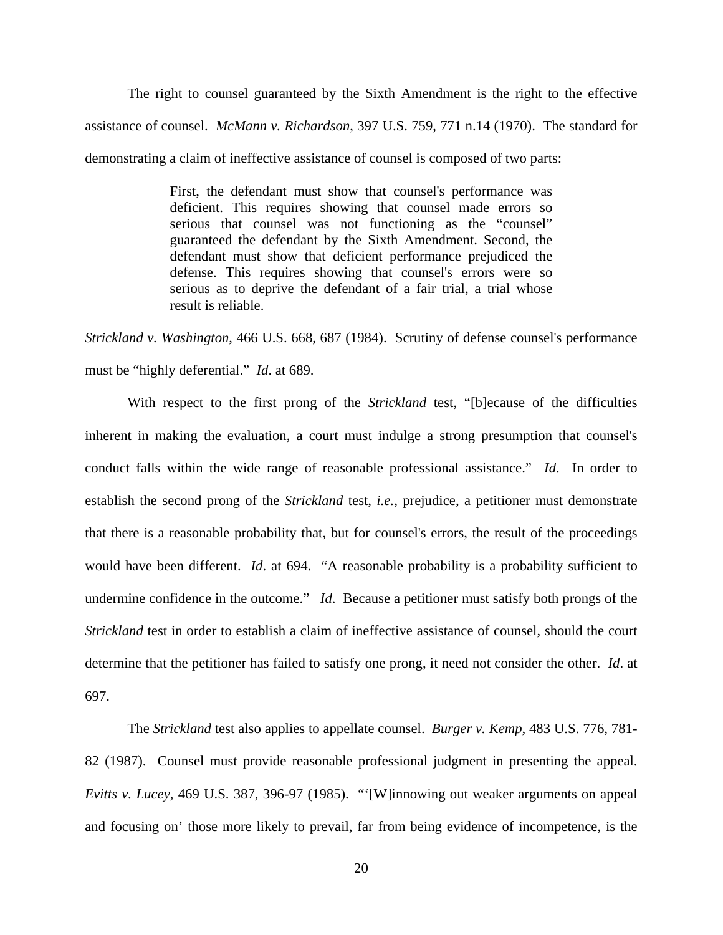The right to counsel guaranteed by the Sixth Amendment is the right to the effective assistance of counsel. *McMann v. Richardson*, 397 U.S. 759, 771 n.14 (1970). The standard for demonstrating a claim of ineffective assistance of counsel is composed of two parts:

> First, the defendant must show that counsel's performance was deficient. This requires showing that counsel made errors so serious that counsel was not functioning as the "counsel" guaranteed the defendant by the Sixth Amendment. Second, the defendant must show that deficient performance prejudiced the defense. This requires showing that counsel's errors were so serious as to deprive the defendant of a fair trial, a trial whose result is reliable.

*Strickland v. Washington*, 466 U.S. 668, 687 (1984). Scrutiny of defense counsel's performance must be "highly deferential." *Id*. at 689.

With respect to the first prong of the *Strickland* test, "[b]ecause of the difficulties inherent in making the evaluation, a court must indulge a strong presumption that counsel's conduct falls within the wide range of reasonable professional assistance." *Id*. In order to establish the second prong of the *Strickland* test, *i.e.,* prejudice, a petitioner must demonstrate that there is a reasonable probability that, but for counsel's errors, the result of the proceedings would have been different. *Id*. at 694. "A reasonable probability is a probability sufficient to undermine confidence in the outcome." *Id*. Because a petitioner must satisfy both prongs of the *Strickland* test in order to establish a claim of ineffective assistance of counsel, should the court determine that the petitioner has failed to satisfy one prong, it need not consider the other. *Id*. at 697.

The *Strickland* test also applies to appellate counsel. *Burger v. Kemp*, 483 U.S. 776, 781- 82 (1987). Counsel must provide reasonable professional judgment in presenting the appeal. *Evitts v. Lucey*, 469 U.S. 387, 396-97 (1985). "'[W]innowing out weaker arguments on appeal and focusing on' those more likely to prevail, far from being evidence of incompetence, is the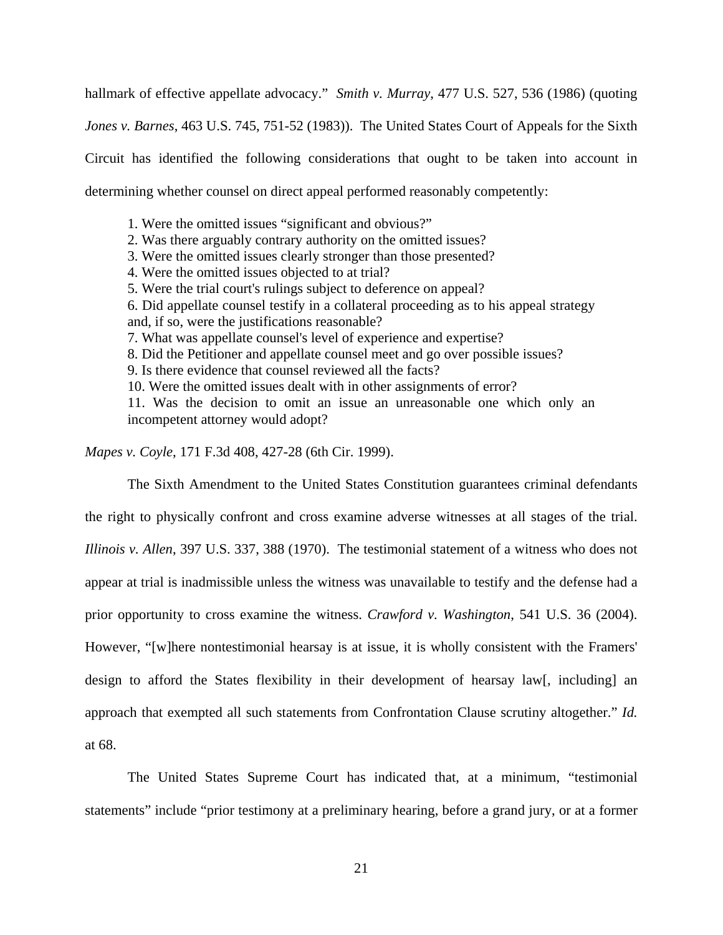hallmark of effective appellate advocacy." *Smith v. Murray*, 477 U.S. 527, 536 (1986) (quoting *Jones v. Barnes*, 463 U.S. 745, 751-52 (1983)). The United States Court of Appeals for the Sixth Circuit has identified the following considerations that ought to be taken into account in determining whether counsel on direct appeal performed reasonably competently:

1. Were the omitted issues "significant and obvious?" 2. Was there arguably contrary authority on the omitted issues? 3. Were the omitted issues clearly stronger than those presented? 4. Were the omitted issues objected to at trial? 5. Were the trial court's rulings subject to deference on appeal? 6. Did appellate counsel testify in a collateral proceeding as to his appeal strategy and, if so, were the justifications reasonable? 7. What was appellate counsel's level of experience and expertise? 8. Did the Petitioner and appellate counsel meet and go over possible issues? 9. Is there evidence that counsel reviewed all the facts? 10. Were the omitted issues dealt with in other assignments of error? 11. Was the decision to omit an issue an unreasonable one which only an incompetent attorney would adopt?

*Mapes v. Coyle*, 171 F.3d 408, 427-28 (6th Cir. 1999).

The Sixth Amendment to the United States Constitution guarantees criminal defendants the right to physically confront and cross examine adverse witnesses at all stages of the trial. *Illinois v. Allen*, 397 U.S. 337, 388 (1970). The testimonial statement of a witness who does not appear at trial is inadmissible unless the witness was unavailable to testify and the defense had a prior opportunity to cross examine the witness. *Crawford v. Washington*, 541 U.S. 36 (2004). However, "[w]here nontestimonial hearsay is at issue, it is wholly consistent with the Framers' design to afford the States flexibility in their development of hearsay law[, including] an approach that exempted all such statements from Confrontation Clause scrutiny altogether." *Id.* at 68.

The United States Supreme Court has indicated that, at a minimum, "testimonial statements" include "prior testimony at a preliminary hearing, before a grand jury, or at a former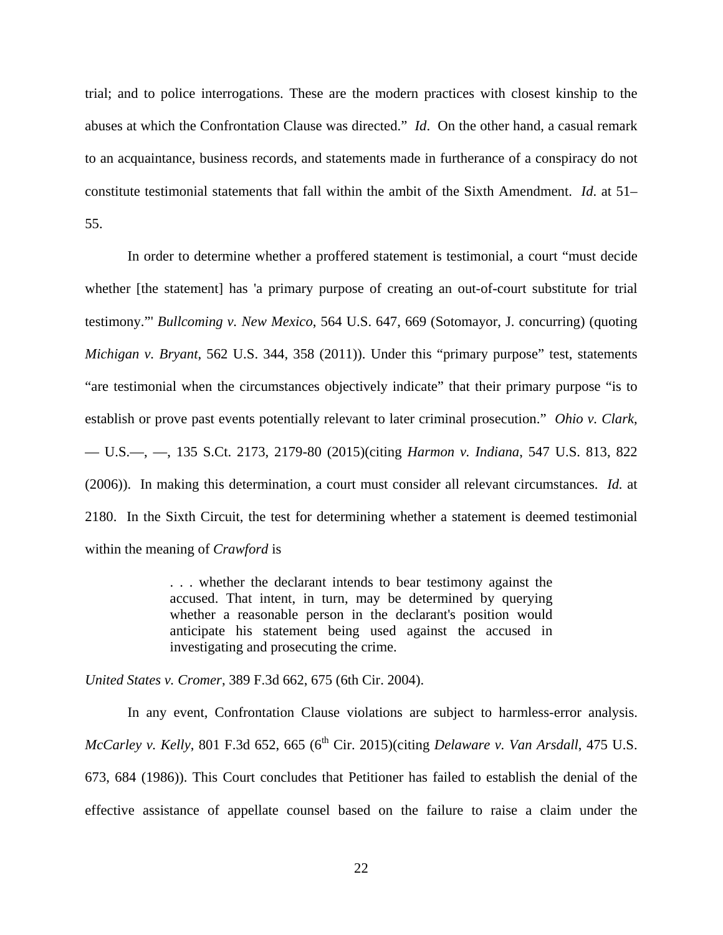trial; and to police interrogations. These are the modern practices with closest kinship to the abuses at which the Confrontation Clause was directed." *Id*. On the other hand, a casual remark to an acquaintance, business records, and statements made in furtherance of a conspiracy do not constitute testimonial statements that fall within the ambit of the Sixth Amendment. *Id*. at 51– 55.

In order to determine whether a proffered statement is testimonial, a court "must decide whether [the statement] has 'a primary purpose of creating an out-of-court substitute for trial testimony."' *Bullcoming v. New Mexico*, 564 U.S. 647, 669 (Sotomayor, J. concurring) (quoting *Michigan v. Bryant*, 562 U.S. 344, 358 (2011)). Under this "primary purpose" test, statements "are testimonial when the circumstances objectively indicate" that their primary purpose "is to establish or prove past events potentially relevant to later criminal prosecution." *Ohio v. Clark*, — U.S.—, —, 135 S.Ct. 2173, 2179-80 (2015)(citing *Harmon v. Indiana*, 547 U.S. 813, 822 (2006)). In making this determination, a court must consider all relevant circumstances. *Id.* at 2180. In the Sixth Circuit, the test for determining whether a statement is deemed testimonial within the meaning of *Crawford* is

> . . . whether the declarant intends to bear testimony against the accused. That intent, in turn, may be determined by querying whether a reasonable person in the declarant's position would anticipate his statement being used against the accused in investigating and prosecuting the crime.

*United States v. Cromer*, 389 F.3d 662, 675 (6th Cir. 2004).

In any event, Confrontation Clause violations are subject to harmless-error analysis. *McCarley v. Kelly*, 801 F.3d 652, 665 (6<sup>th</sup> Cir. 2015)(citing *Delaware v. Van Arsdall*, 475 U.S. 673, 684 (1986)). This Court concludes that Petitioner has failed to establish the denial of the effective assistance of appellate counsel based on the failure to raise a claim under the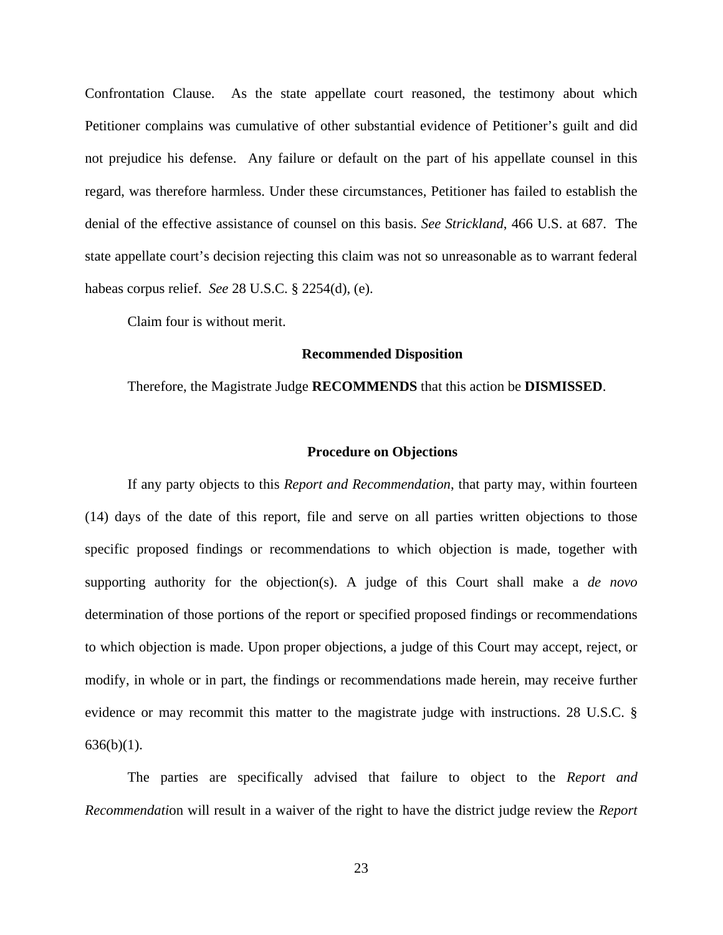Confrontation Clause. As the state appellate court reasoned, the testimony about which Petitioner complains was cumulative of other substantial evidence of Petitioner's guilt and did not prejudice his defense. Any failure or default on the part of his appellate counsel in this regard, was therefore harmless. Under these circumstances, Petitioner has failed to establish the denial of the effective assistance of counsel on this basis. *See Strickland*, 466 U.S. at 687. The state appellate court's decision rejecting this claim was not so unreasonable as to warrant federal habeas corpus relief. *See* 28 U.S.C. § 2254(d), (e).

Claim four is without merit.

#### **Recommended Disposition**

Therefore, the Magistrate Judge **RECOMMENDS** that this action be **DISMISSED**.

#### **Procedure on Objections**

If any party objects to this *Report and Recommendation*, that party may, within fourteen (14) days of the date of this report, file and serve on all parties written objections to those specific proposed findings or recommendations to which objection is made, together with supporting authority for the objection(s). A judge of this Court shall make a *de novo* determination of those portions of the report or specified proposed findings or recommendations to which objection is made. Upon proper objections, a judge of this Court may accept, reject, or modify, in whole or in part, the findings or recommendations made herein, may receive further evidence or may recommit this matter to the magistrate judge with instructions. 28 U.S.C. §  $636(b)(1)$ .

The parties are specifically advised that failure to object to the *Report and Recommendati*on will result in a waiver of the right to have the district judge review the *Report*